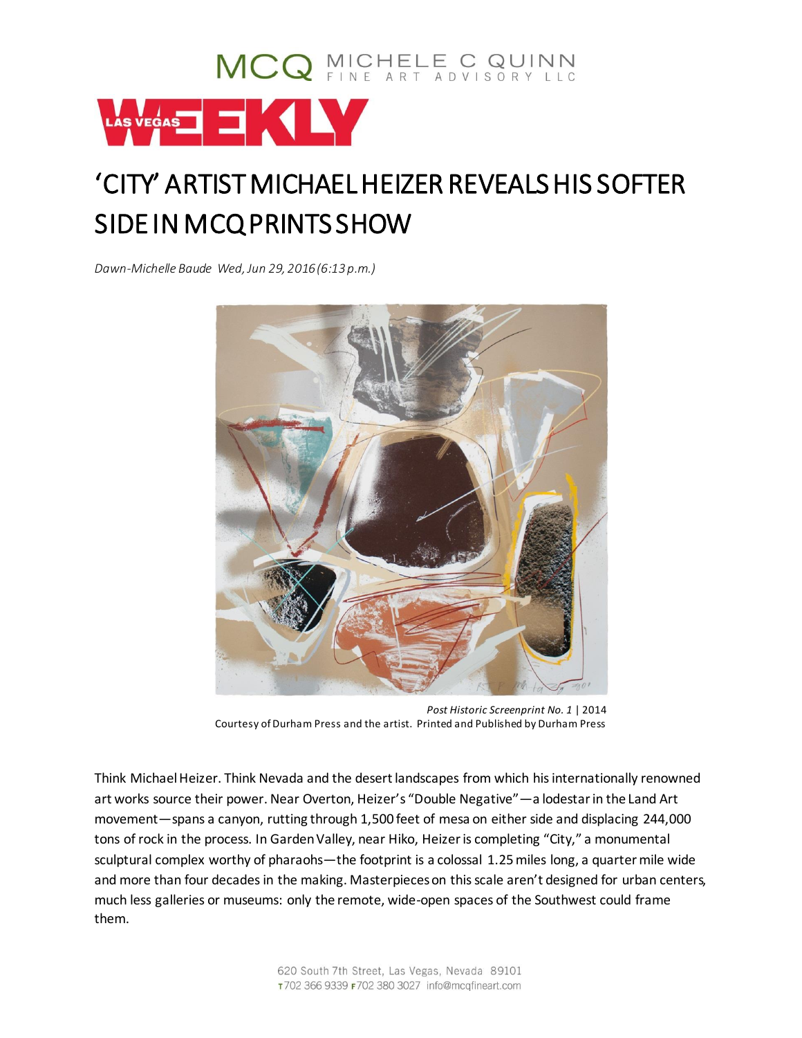

## 'CITY' ARTIST MICHAEL HEIZER REVEALS HIS SOFTER SIDE IN MCQ PRINTS SHOW

*Dawn-Michelle Baude Wed, Jun 29, 2016 (6:13p.m.)* 



*Post Historic Screenprint No. 1* | 2014 Courtesy of Durham Press and the artist. Printed and Published by Durham Press

Think Michael Heizer. Think Nevada and the desert landscapes from which his internationally renowned art works source their power. Near Overton, Heizer's "Double Negative"—a lodestar in the Land Art movement—spans a canyon, rutting through 1,500 feet of mesa on either side and displacing 244,000 tons of rock in the process. In Garden Valley, near Hiko, Heizer is completing "City," a monumental sculptural complex worthy of pharaohs—the footprint is a colossal 1.25 miles long, a quarter mile wide and more than four decades in the making. Masterpieces on this scale aren't designed for urban centers, much less galleries or museums: only the remote, wide-open spaces of the Southwest could frame them.